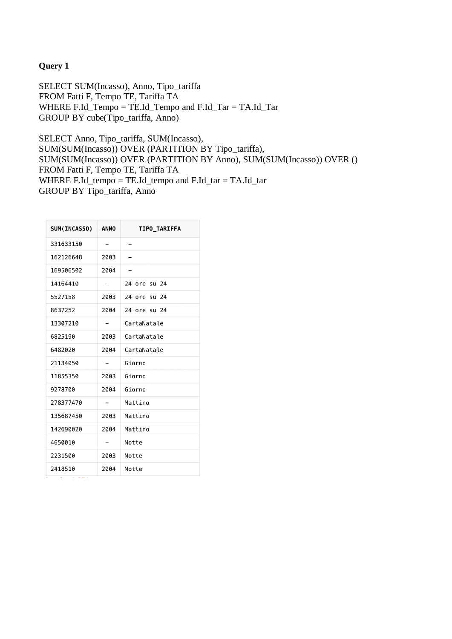## **Query 1**

SELECT SUM(Incasso), Anno, Tipo\_tariffa FROM Fatti F, Tempo TE, Tariffa TA WHERE F.Id\_Tempo = TE.Id\_Tempo and F.Id\_Tar = TA.Id\_Tar GROUP BY cube(Tipo\_tariffa, Anno)

SELECT Anno, Tipo\_tariffa, SUM(Incasso), SUM(SUM(Incasso)) OVER (PARTITION BY Tipo\_tariffa), SUM(SUM(Incasso)) OVER (PARTITION BY Anno), SUM(SUM(Incasso)) OVER () FROM Fatti F, Tempo TE, Tariffa TA WHERE F.Id tempo = TE.Id tempo and F.Id tar = TA.Id tar GROUP BY Tipo\_tariffa, Anno

| <b>SUM(INCASSO)</b> | ANNO | <b>TIPO TARIFFA</b> |
|---------------------|------|---------------------|
| 331633150           | -    | -                   |
| 162126648           | 2003 |                     |
| 169506502           | 2004 | -                   |
| 14164410            | -    | 24 ore su 24        |
| 5527158             | 2003 | 24 ore su 24        |
| 8637252             | 2004 | 24 ore su 24        |
| 13307210            | -    | CartaNatale         |
| 6825190             | 2003 | CartaNatale         |
| 6482020             | 2004 | CartaNatale         |
| 21134050            |      | Giorno              |
| 11855350            | 2003 | Giorno              |
| 9278700             | 2004 | Giorno              |
| 278377470           |      | Mattino             |
| 135687450           | 2003 | Mattino             |
| 142690020           | 2004 | Mattino             |
| 4650010             |      | Notte               |
| 2231500             | 2003 | Notte               |
| 2418510             | 2004 | Notte               |

 $\frac{1}{2}$  and  $\frac{1}{2}$  and  $\frac{1}{2}$  and  $\frac{1}{2}$  and  $\frac{1}{2}$  and  $\frac{1}{2}$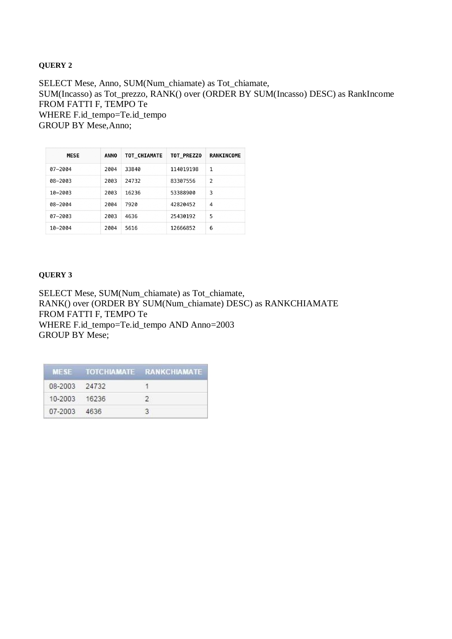### **QUERY 2**

SELECT Mese, Anno, SUM(Num\_chiamate) as Tot\_chiamate, SUM(Incasso) as Tot\_prezzo, RANK() over (ORDER BY SUM(Incasso) DESC) as RankIncome FROM FATTI F, TEMPO Te WHERE F.id\_tempo=Te.id\_tempo GROUP BY Mese,Anno;

| <b>MESE</b> | <b>ANNO</b> | TOT CHIAMATE | <b>TOT PREZZO</b> | <b>RANKINCOME</b> |
|-------------|-------------|--------------|-------------------|-------------------|
| 07-2004     | 2004        | 33840        | 114019198         | 1                 |
| 08-2003     | 2003        | 24732        | 83307556          | 2                 |
| $10 - 2003$ | 2003        | 16236        | 53388900          | 3                 |
| 08-2004     | 2004        | 7920         | 42820452          | 4                 |
| 07-2003     | 2003        | 4636         | 25430192          | 5                 |
| 10-2004     | 2004        | 5616         | 12666852          | 6                 |

## **QUERY 3**

SELECT Mese, SUM(Num\_chiamate) as Tot\_chiamate, RANK() over (ORDER BY SUM(Num\_chiamate) DESC) as RANKCHIAMATE FROM FATTI F, TEMPO Te WHERE F.id\_tempo=Te.id\_tempo AND Anno=2003 GROUP BY Mese;

|               | MESE TOTCHIAMATE RANKCHIAMATE |
|---------------|-------------------------------|
| 08-2003 24732 |                               |
| 10-2003 16236 |                               |
| 07-2003 4636  |                               |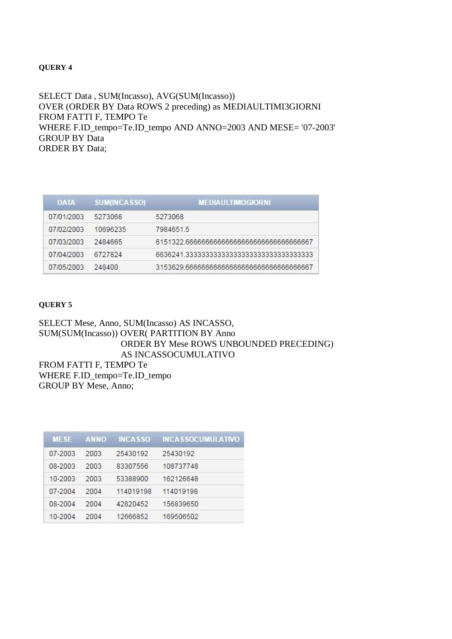### **QUERY 4**

SELECT Data , SUM(Incasso), AVG(SUM(Incasso)) OVER (ORDER BY Data ROWS 2 preceding) as MEDIAULTIMI3GIORNI FROM FATTI F, TEMPO Te WHERE F.ID\_tempo=Te.ID\_tempo AND ANNO=2003 AND MESE= '07-2003' GROUP BY Data ORDER BY Data;

| <b>DATA</b> | <b>SUM(INCASSO)</b> | <b>MEDIAULTIMI3GIORNI</b>                  |
|-------------|---------------------|--------------------------------------------|
| 07/01/2003  | 5273068             | 5273068                                    |
| 07/02/2003  | 10696235            | 7984651.5                                  |
| 07/03/2003  | 2484665             | 6151322.66666666666666666666666666666667   |
| 07/04/2003  | 6727824             | 6636241 3333333333333333333333333333333333 |
| 07/05/2003  | 248400              | 3153629.66666666666666666666666666666667   |

### **QUERY 5**

SELECT Mese, Anno, SUM(Incasso) AS INCASSO, SUM(SUM(Incasso)) OVER( PARTITION BY Anno ORDER BY Mese ROWS UNBOUNDED PRECEDING) AS INCASSOCUMULATIVO FROM FATTI F, TEMPO Te WHERE F.ID\_tempo=Te.ID\_tempo GROUP BY Mese, Anno;

| <b>MESE</b> | <b>ANNO</b> | <b>INCASSO</b> | <b>INCASSOCUMULATIVO</b> |
|-------------|-------------|----------------|--------------------------|
| 07-2003     | 2003        | 25430192       | 25430192                 |
| 08-2003     | 2003        | 83307556       | 108737748                |
| 10-2003     | 2003        | 53388900       | 162126648                |
| 07-2004     | 2004        | 114019198      | 114019198                |
| 08-2004     | 2004        | 42820452       | 156839650                |
| 10-2004     | 2004        | 12666852       | 169506502                |